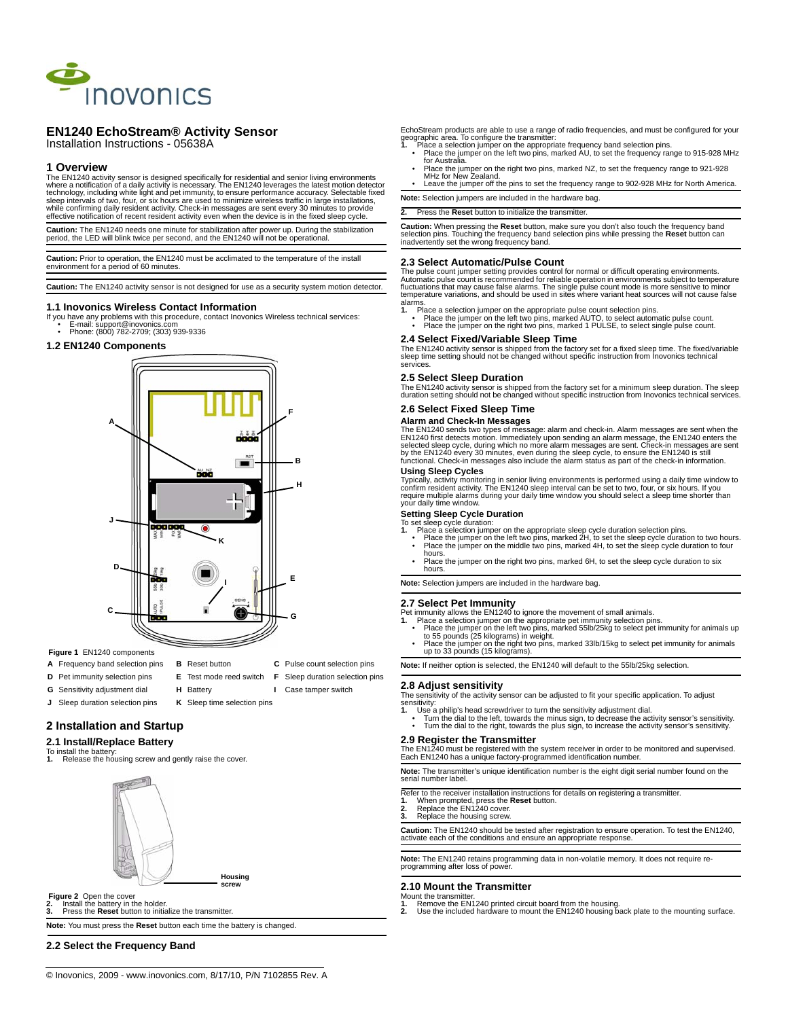

# **EN1240 EchoStream® Activity Sensor**

### Installation Instructions - 05638A

### **1 Overview**

The EN1240 activity sensor is designed specifically for residential and senior living environments<br>where a notification of a daily activity is necessary. The EN1240 leverages the latest motion detector<br>technology, includin while confirming daily resident activity. Check-in messages are sent every 30 minutes to provide effective notification of recent resident activity even when the device is in the fixed sleep cycle.

**Caution:** The EN1240 needs one minute for stabilization after power up. During the stabilization period, the LED will blink twice per second, and the EN1240 will not be operational.

**Caution:** Prior to operation, the EN1240 must be acclimated to the temperature of the install environment for a period of 60 minutes.

**Caution:** The EN1240 activity sensor is not designed for use as a security system motion detector.

### **1.1 Inovonics Wireless Contact Information**

- If you have any problems with this procedure, contact Inovonics Wireless technical services:
	- E-mail: support@inovonics.com Phone: (800) 782-2709; (303) 939-9336

# **1.2 EN1240 Components**



- **Figure 1** EN1240 components
- **A** Frequency band selection pins **B** Reset button **C** Pulse count selection pins
- **D** Pet immunity selection pins **E** Test mode reed switch **F** Sleep duration selection pins
- 
- **G** Sensitivity adjustment dial **H** Battery **I** Case tamper switch
- **J** Sleep duration selection pins **K** Sleep time selection pins
- **2 Installation and Startup**

# **2.1 Install/Replace Battery**

- To install the battery<br>1. Release the ho
- **1.** Release the housing screw and gently raise the cover.



### **Figure 2** Open the cover

**2.** Install the battery in the holder. **3.** Press the **Reset** button to initialize the transmitter.

**Note:** You must press the **Reset** button each time the battery is changed.

### **2.2 Select the Frequency Band**

EchoStream products are able to use a range of radio frequencies, and must be configured for your

- geographic area. To configure the transmitter:<br>1. Place a selection jumper on the appropriate frequency band selection pins.<br>• Place the jumper on the left two pins, marked AU, to set the frequency range to 915-928 MHz<br>for
- Place the jumper on the right two pins, marked NZ, to set the frequency range to 921-928 MHz for New Zealand.
- Leave the jumper off the pins to set the frequency range to 902-928 MHz for North America. **Note:** Selection jumpers are included in the hardware bag.

**2.** Press the **Reset** button to initialize the transmitter.

**Caution:** When pressing the **Reset** button, make sure you don't also touch the frequency band<br>selection pins. Touching the frequency band selection pins while pressing the **Reset** button can<br>inadvertently set the wrong fr

### **2.3 Select Automatic/Pulse Count**

The pulse count jumper setting provides control for normal or difficult operating environments. Automatic pulse count is recommended for reliable operation in environments subject to temperature fluctuations that may cause false alarms. The single pulse count mode is more sensitive to minor<br>temperature variations, and should be used in sites where variant heat sources will not cause false<br>alarms.

- 
- 1. Place a selection jumper on the appropriate pulse count selection pins.<br>Place the jumper on the left two pins, marked AUTO, to select automatic pulse count.<br>Place the jumper on the right two pins, marked 1 PULSE, to sel

### **2.4 Select Fixed/Variable Sleep Time**

The EN1240 activity sensor is shipped from the factory set for a fixed sleep time. The fixed/variable<br>sleep time setting should not be changed without specific instruction from Inovonics technical<br>services.

### **2.5 Select Sleep Duration**

The EN1240 activity sensor is shipped from the factory set for a minimum sleep duration. The sleep duration setting should not be changed without specific instruction from Inovonics technical services.

### **2.6 Select Fixed Sleep Time**

### **Alarm and Check-In Messages**

The EN1240 sends two types of message: alarm and check-in. Alarm messages are sent when the EN1240 sends to the<br>EN1240 first detects motion. Immediately upon sending an alarm message, the EN1240 enters the<br>selected sleep c

### **Using Sleep Cycles**

Typically, activity monitoring in senior living environments is performed using a daily time window to<br>confirm resident activity. The EN1240 sleep interval can be set to two, four, or six hours. If you<br>require multiple ala your daily time window.

- 
- Setting Sleep Cycle Duration<br>To set sleep cycle duration selection pins.<br>1. Place the jumper on the appropriate sleep cycle duration selection pins.<br>1. Place the jumper on the left two pins, marked 2H, to set the sleep cyc
- hours. Place the jumper on the right two pins, marked 6H, to set the sleep cycle duration to six hours.

**Note:** Selection jumpers are included in the hardware bag.

### **2.7 Select Pet Immunity**

- 
- Pet immunity allows the EN1240 to ignore the movement of small animals.<br>
1. Place a selection jumper on the appropriate pet immunity selection pins.<br>
 Place the jumper on the left two pins, marked 55lb/25kg to select pet
- 

**Note:** If neither option is selected, the EN1240 will default to the 55lb/25kg selection.

### **2.8 Adjust sensitivity**

The sensitivity of the activity sensor can be adjusted to fit your specific application. To adjust sensitivity: **1.** Use a philip's head screwdriver to turn the sensitivity adjustment dial.

- 
- Turn the dial to the left, towards the minus sign, to decrease the activity sensor's sensitivity. Turn the dial to the right, towards the plus sign, to increase the activity sensor's sensitivity.

### **2.9 Register the Transmitter**

The EN1240 must be registered with the system receiver in order to be monitored and supervised. Each EN1240 has a unique factory-programmed identification number.

**Note:** The transmitter's unique identification number is the eight digit serial number found on the serial number label.

- Refer to the receiver installation instructions for details on registering a transmitter.<br>**1.** When prompted, press the **Reset** button.<br>**2.** Replace the EN1240 cover.<br>**3.** Replace the EN1240 corew.
- 
- **3.** Replace the housing screw.

**Caution:** The EN1240 should be tested after registration to ensure operation. To test the EN1240, activate each of the conditions and ensure an appropriate response.

**Note:** The EN1240 retains programming data in non-volatile memory. It does not require re-programming after loss of power.

### **2.10 Mount the Transmitter**

- 
- Mount the transmitter.<br>**1.** Remove the EN1240 printed circuit board from the housing.<br>**2.** Use the included hardware to mount the EN1240 housing back plate to the mounting surface.

**Housing screw**

- 
-